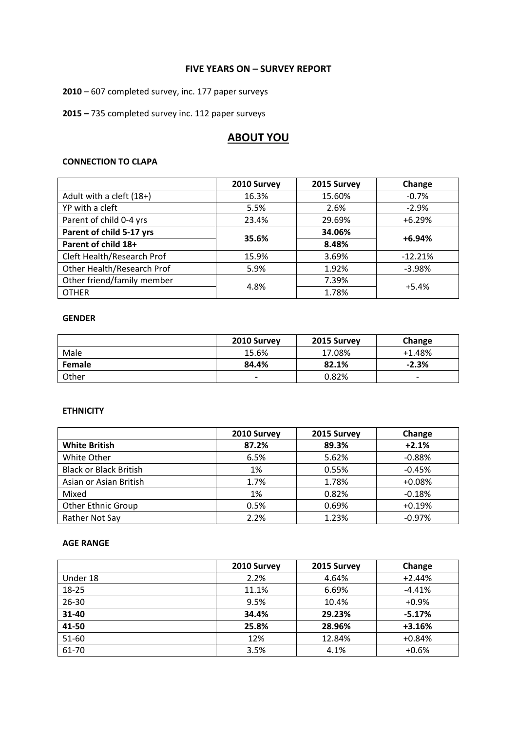### **FIVE YEARS ON – SURVEY REPORT**

**2010** – 607 completed survey, inc. 177 paper surveys

**2015 –** 735 completed survey inc. 112 paper surveys

# **ABOUT YOU**

### **CONNECTION TO CLAPA**

|                            | 2010 Survey | 2015 Survey | Change    |
|----------------------------|-------------|-------------|-----------|
| Adult with a cleft (18+)   | 16.3%       | 15.60%      | $-0.7%$   |
| YP with a cleft            | 5.5%        | 2.6%        | $-2.9%$   |
| Parent of child 0-4 yrs    | 23.4%       | 29.69%      | $+6.29%$  |
| Parent of child 5-17 yrs   | 35.6%       | 34.06%      | $+6.94%$  |
| Parent of child 18+        |             | 8.48%       |           |
| Cleft Health/Research Prof | 15.9%       | 3.69%       | $-12.21%$ |
| Other Health/Research Prof | 5.9%        | 1.92%       | $-3.98%$  |
| Other friend/family member | 4.8%        | 7.39%       | $+5.4%$   |
| <b>OTHER</b>               |             | 1.78%       |           |

### **GENDER**

|        | 2010 Survey              | 2015 Survey | Change                   |
|--------|--------------------------|-------------|--------------------------|
| Male   | 15.6%                    | 17.08%      | $+1.48%$                 |
| Female | 84.4%                    | 82.1%       | $-2.3%$                  |
| Other  | $\overline{\phantom{0}}$ | 0.82%       | $\overline{\phantom{0}}$ |

### **ETHNICITY**

|                               | 2010 Survey | 2015 Survey | Change   |
|-------------------------------|-------------|-------------|----------|
| <b>White British</b>          | 87.2%       | 89.3%       | $+2.1%$  |
| White Other                   | 6.5%        | 5.62%       | $-0.88%$ |
| <b>Black or Black British</b> | 1%          | 0.55%       | $-0.45%$ |
| Asian or Asian British        | 1.7%        | 1.78%       | $+0.08%$ |
| Mixed                         | 1%          | 0.82%       | $-0.18%$ |
| <b>Other Ethnic Group</b>     | 0.5%        | 0.69%       | $+0.19%$ |
| Rather Not Say                | 2.2%        | 1.23%       | $-0.97%$ |

### **AGE RANGE**

|           | 2010 Survey | 2015 Survey | Change   |
|-----------|-------------|-------------|----------|
| Under 18  | 2.2%        | 4.64%       | $+2.44%$ |
| 18-25     | 11.1%       | 6.69%       | $-4.41%$ |
| $26 - 30$ | 9.5%        | 10.4%       | $+0.9%$  |
| 31-40     | 34.4%       | 29.23%      | $-5.17%$ |
| 41-50     | 25.8%       | 28.96%      | $+3.16%$ |
| 51-60     | 12%         | 12.84%      | $+0.84%$ |
| 61-70     | 3.5%        | 4.1%        | $+0.6%$  |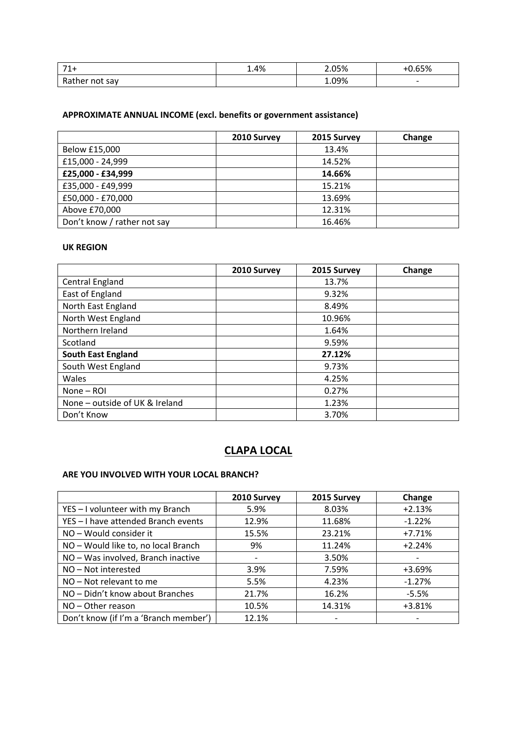| $\mathbf{z}$<br>. .    | 1.4% | 2.05% | $C = 0$<br>70            |
|------------------------|------|-------|--------------------------|
| Ra.<br>not sav<br>her: |      | 09% د | $\overline{\phantom{0}}$ |

# **APPROXIMATE ANNUAL INCOME (excl. benefits or government assistance)**

|                             | 2010 Survey | 2015 Survey | Change |
|-----------------------------|-------------|-------------|--------|
| Below £15,000               |             | 13.4%       |        |
| £15,000 - 24,999            |             | 14.52%      |        |
| £25,000 - £34,999           |             | 14.66%      |        |
| £35,000 - £49,999           |             | 15.21%      |        |
| £50,000 - £70,000           |             | 13.69%      |        |
| Above £70,000               |             | 12.31%      |        |
| Don't know / rather not say |             | 16.46%      |        |

### **UK REGION**

|                                | 2010 Survey | 2015 Survey | Change |
|--------------------------------|-------------|-------------|--------|
| Central England                |             | 13.7%       |        |
| East of England                |             | 9.32%       |        |
| North East England             |             | 8.49%       |        |
| North West England             |             | 10.96%      |        |
| Northern Ireland               |             | 1.64%       |        |
| Scotland                       |             | 9.59%       |        |
| <b>South East England</b>      |             | 27.12%      |        |
| South West England             |             | 9.73%       |        |
| Wales                          |             | 4.25%       |        |
| None - ROI                     |             | 0.27%       |        |
| None - outside of UK & Ireland |             | 1.23%       |        |
| Don't Know                     |             | 3.70%       |        |

# **CLAPA LOCAL**

# **ARE YOU INVOLVED WITH YOUR LOCAL BRANCH?**

|                                       | 2010 Survey | 2015 Survey | Change   |
|---------------------------------------|-------------|-------------|----------|
| YES - I volunteer with my Branch      | 5.9%        | 8.03%       | $+2.13%$ |
| YES - I have attended Branch events   | 12.9%       | 11.68%      | $-1.22%$ |
| NO - Would consider it                | 15.5%       | 23.21%      | $+7.71%$ |
| NO - Would like to, no local Branch   | 9%          | 11.24%      | $+2.24%$ |
| NO - Was involved, Branch inactive    |             | 3.50%       |          |
| NO-Not interested                     | 3.9%        | 7.59%       | $+3.69%$ |
| NO - Not relevant to me               | 5.5%        | 4.23%       | $-1.27%$ |
| NO - Didn't know about Branches       | 21.7%       | 16.2%       | $-5.5%$  |
| NO - Other reason                     | 10.5%       | 14.31%      | $+3.81%$ |
| Don't know (if I'm a 'Branch member') | 12.1%       |             |          |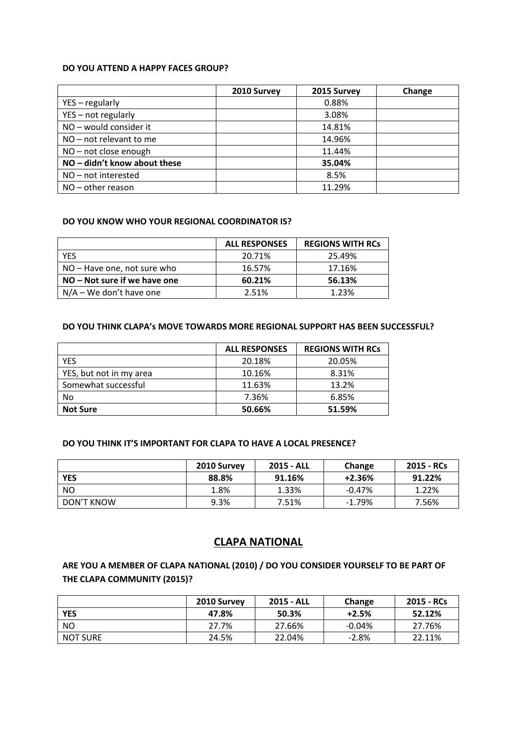#### **DO YOU ATTEND A HAPPY FACES GROUP?**

|                              | 2010 Survey | 2015 Survey | Change |
|------------------------------|-------------|-------------|--------|
| $YES - regularly$            |             | 0.88%       |        |
| YES - not regularly          |             | 3.08%       |        |
| NO - would consider it       |             | 14.81%      |        |
| $NO - not$ relevant to me    |             | 14.96%      |        |
| NO - not close enough        |             | 11.44%      |        |
| NO - didn't know about these |             | 35.04%      |        |
| $NO - not interested$        |             | 8.5%        |        |
| $NO - other reason$          |             | 11.29%      |        |

### **DO YOU KNOW WHO YOUR REGIONAL COORDINATOR IS?**

|                                | <b>ALL RESPONSES</b> | <b>REGIONS WITH RCS</b> |
|--------------------------------|----------------------|-------------------------|
| <b>YES</b>                     | 20.71%               | 25.49%                  |
| NO – Have one, not sure who    | 16.57%               | 17.16%                  |
| $NO - Not sure if we have one$ | 60.21%               | 56.13%                  |
| $N/A - We don't have one$      | 2.51%                | 1.23%                   |

### **DO YOU THINK CLAPA's MOVE TOWARDS MORE REGIONAL SUPPORT HAS BEEN SUCCESSFUL?**

|                         | <b>ALL RESPONSES</b> | <b>REGIONS WITH RCs</b> |
|-------------------------|----------------------|-------------------------|
| <b>YES</b>              | 20.18%               | 20.05%                  |
| YES, but not in my area | 10.16%               | 8.31%                   |
| Somewhat successful     | 11.63%               | 13.2%                   |
| No                      | 7.36%                | 6.85%                   |
| <b>Not Sure</b>         | 50.66%               | 51.59%                  |

#### **DO YOU THINK IT'S IMPORTANT FOR CLAPA TO HAVE A LOCAL PRESENCE?**

|            | 2010 Survey | 2015 - ALL | Change   | 2015 - RCs |
|------------|-------------|------------|----------|------------|
| <b>YES</b> | 88.8%       | 91.16%     | $+2.36%$ | 91.22%     |
| <b>NO</b>  | 1.8%        | 1.33%      | $-0.47%$ | 1.22%      |
| DON'T KNOW | 9.3%        | 7.51%      | $-1.79%$ | 7.56%      |

# **CLAPA NATIONAL**

# **ARE YOU A MEMBER OF CLAPA NATIONAL (2010) / DO YOU CONSIDER YOURSELF TO BE PART OF THE CLAPA COMMUNITY (2015)?**

|                 | 2010 Survey | 2015 - ALL | Change   | 2015 - RCs |
|-----------------|-------------|------------|----------|------------|
| <b>YES</b>      | 47.8%       | 50.3%      | $+2.5%$  | 52.12%     |
| <b>NO</b>       | 27.7%       | 27.66%     | $-0.04%$ | 27.76%     |
| <b>NOT SURE</b> | 24.5%       | 22.04%     | $-2.8%$  | 22.11%     |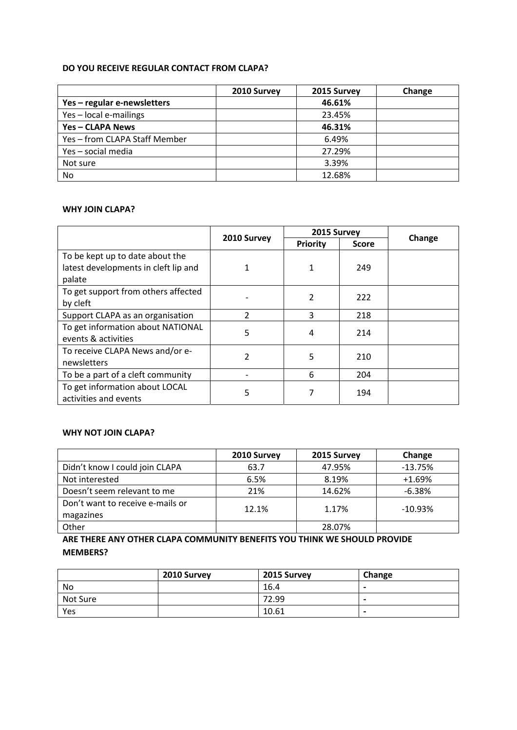### **DO YOU RECEIVE REGULAR CONTACT FROM CLAPA?**

|                               | 2010 Survey | 2015 Survey | Change |
|-------------------------------|-------------|-------------|--------|
| Yes-regular e-newsletters     |             | 46.61%      |        |
| Yes-local e-mailings          |             | 23.45%      |        |
| Yes - CLAPA News              |             | 46.31%      |        |
| Yes - from CLAPA Staff Member |             | 6.49%       |        |
| Yes - social media            |             | 27.29%      |        |
| Not sure                      |             | 3.39%       |        |
| No.                           |             | 12.68%      |        |

### **WHY JOIN CLAPA?**

|                                      |                | 2015 Survey     |              |        |
|--------------------------------------|----------------|-----------------|--------------|--------|
|                                      | 2010 Survey    | <b>Priority</b> | <b>Score</b> | Change |
| To be kept up to date about the      |                |                 |              |        |
| latest developments in cleft lip and | 1              | 1               | 249          |        |
| palate                               |                |                 |              |        |
| To get support from others affected  |                | 2               | 222          |        |
| by cleft                             |                |                 |              |        |
| Support CLAPA as an organisation     | $\mathfrak{p}$ | 3               | 218          |        |
| To get information about NATIONAL    | 5              | 4               | 214          |        |
| events & activities                  |                |                 |              |        |
| To receive CLAPA News and/or e-      | 2              | 5               | 210          |        |
| newsletters                          |                |                 |              |        |
| To be a part of a cleft community    |                | 6               | 204          |        |
| To get information about LOCAL       | 5              |                 | 194          |        |
| activities and events                |                |                 |              |        |

# **WHY NOT JOIN CLAPA?**

|                                  | 2010 Survey | 2015 Survey | Change    |
|----------------------------------|-------------|-------------|-----------|
| Didn't know I could join CLAPA   | 63.7        | 47.95%      | $-13.75%$ |
| Not interested                   | 6.5%        | 8.19%       | $+1.69%$  |
| Doesn't seem relevant to me      | 21%         | 14.62%      | $-6.38%$  |
| Don't want to receive e-mails or | 12.1%       | 1.17%       | $-10.93%$ |
| magazines                        |             |             |           |
| Other                            |             | 28.07%      |           |

**ARE THERE ANY OTHER CLAPA COMMUNITY BENEFITS YOU THINK WE SHOULD PROVIDE MEMBERS?**

|          | 2010 Survey | 2015 Survey | Change                   |
|----------|-------------|-------------|--------------------------|
| No       |             | 16.4        | $\,$                     |
| Not Sure |             | 72.99       | $\,$                     |
| Yes      |             | 10.61       | $\overline{\phantom{0}}$ |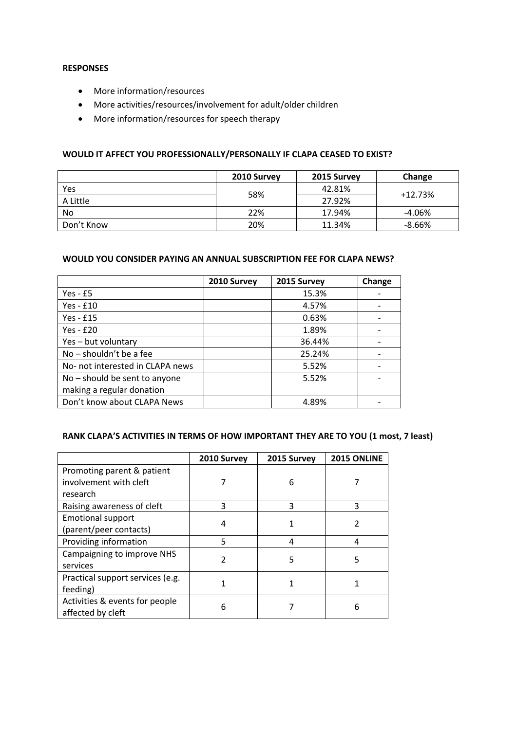### **RESPONSES**

- More information/resources
- More activities/resources/involvement for adult/older children
- More information/resources for speech therapy

### **WOULD IT AFFECT YOU PROFESSIONALLY/PERSONALLY IF CLAPA CEASED TO EXIST?**

|            | 2010 Survey | 2015 Survey | Change    |
|------------|-------------|-------------|-----------|
| Yes        | 58%         | 42.81%      | $+12.73%$ |
| A Little   |             | 27.92%      |           |
| No         | 22%         | 17.94%      | $-4.06%$  |
| Don't Know | 20%         | 11.34%      | $-8.66%$  |

### **WOULD YOU CONSIDER PAYING AN ANNUAL SUBSCRIPTION FEE FOR CLAPA NEWS?**

|                                  | 2010 Survey | 2015 Survey | Change |
|----------------------------------|-------------|-------------|--------|
| Yes - $£5$                       |             | 15.3%       |        |
| Yes - $£10$                      |             | 4.57%       |        |
| Yes - £15                        |             | 0.63%       |        |
| Yes - £20                        |             | 1.89%       |        |
| Yes - but voluntary              |             | 36.44%      |        |
| No - shouldn't be a fee          |             | 25.24%      |        |
| No- not interested in CLAPA news |             | 5.52%       |        |
| No – should be sent to anyone    |             | 5.52%       |        |
| making a regular donation        |             |             |        |
| Don't know about CLAPA News      |             | 4.89%       |        |

# **RANK CLAPA'S ACTIVITIES IN TERMS OF HOW IMPORTANT THEY ARE TO YOU (1 most, 7 least)**

|                                  | 2010 Survey | 2015 Survey | 2015 ONLINE |
|----------------------------------|-------------|-------------|-------------|
| Promoting parent & patient       |             |             |             |
| involvement with cleft           |             | 6           |             |
| research                         |             |             |             |
| Raising awareness of cleft       | 3           | 3           | 3           |
| <b>Emotional support</b>         | 4           |             | 2           |
| (parent/peer contacts)           |             |             |             |
| Providing information            | 5           | 4           | 4           |
| Campaigning to improve NHS       | 2           | 5           | 5           |
| services                         |             |             |             |
| Practical support services (e.g. |             |             |             |
| feeding)                         |             |             |             |
| Activities & events for people   | 6           |             | 6           |
| affected by cleft                |             |             |             |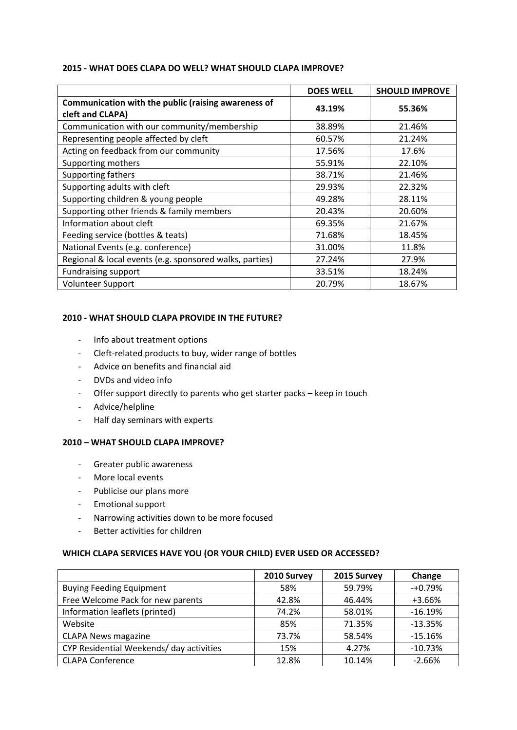### **2015 ‐ WHAT DOES CLAPA DO WELL? WHAT SHOULD CLAPA IMPROVE?**

|                                                                         | <b>DOES WELL</b> | <b>SHOULD IMPROVE</b> |
|-------------------------------------------------------------------------|------------------|-----------------------|
| Communication with the public (raising awareness of<br>cleft and CLAPA) | 43.19%           | 55.36%                |
| Communication with our community/membership                             | 38.89%           | 21.46%                |
| Representing people affected by cleft                                   | 60.57%           | 21.24%                |
| Acting on feedback from our community                                   | 17.56%           | 17.6%                 |
| Supporting mothers                                                      | 55.91%           | 22.10%                |
| Supporting fathers                                                      | 38.71%           | 21.46%                |
| Supporting adults with cleft                                            | 29.93%           | 22.32%                |
| Supporting children & young people                                      | 49.28%           | 28.11%                |
| Supporting other friends & family members                               | 20.43%           | 20.60%                |
| Information about cleft                                                 | 69.35%           | 21.67%                |
| Feeding service (bottles & teats)                                       | 71.68%           | 18.45%                |
| National Events (e.g. conference)                                       | 31.00%           | 11.8%                 |
| Regional & local events (e.g. sponsored walks, parties)                 | 27.24%           | 27.9%                 |
| <b>Fundraising support</b>                                              | 33.51%           | 18.24%                |
| Volunteer Support                                                       | 20.79%           | 18.67%                |

# **2010 ‐ WHAT SHOULD CLAPA PROVIDE IN THE FUTURE?**

- ‐ Info about treatment options
- ‐ Cleft‐related products to buy, wider range of bottles
- ‐ Advice on benefits and financial aid
- ‐ DVDs and video info
- ‐ Offer support directly to parents who get starter packs keep in touch
- ‐ Advice/helpline
- ‐ Half day seminars with experts

# **2010 – WHAT SHOULD CLAPA IMPROVE?**

- ‐ Greater public awareness
- ‐ More local events
- ‐ Publicise our plans more
- ‐ Emotional support
- ‐ Narrowing activities down to be more focused
- ‐ Better activities for children

### **WHICH CLAPA SERVICES HAVE YOU (OR YOUR CHILD) EVER USED OR ACCESSED?**

|                                          | 2010 Survey | 2015 Survey | Change    |
|------------------------------------------|-------------|-------------|-----------|
| <b>Buying Feeding Equipment</b>          | 58%         | 59.79%      | $-+0.79%$ |
| Free Welcome Pack for new parents        | 42.8%       | 46.44%      | +3.66%    |
| Information leaflets (printed)           | 74.2%       | 58.01%      | $-16.19%$ |
| Website                                  | 85%         | 71.35%      | $-13.35%$ |
| <b>CLAPA News magazine</b>               | 73.7%       | 58.54%      | $-15.16%$ |
| CYP Residential Weekends/ day activities | 15%         | 4.27%       | $-10.73%$ |
| <b>CLAPA Conference</b>                  | 12.8%       | 10.14%      | $-2.66%$  |